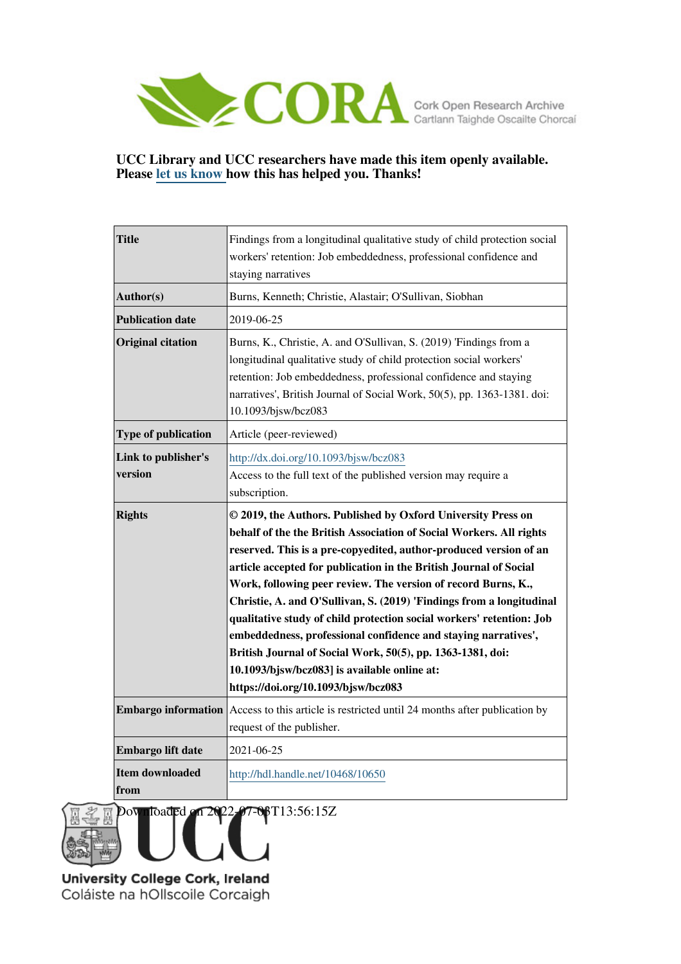

# **UCC Library and UCC researchers have made this item openly available. Please [let us know h](https://libguides.ucc.ie/openaccess/impact?suffix=10650&title=Findings from a longitudinal qualitative study of child protection social workers)ow this has helped you. Thanks!**

| <b>Title</b>               | Findings from a longitudinal qualitative study of child protection social                            |
|----------------------------|------------------------------------------------------------------------------------------------------|
|                            | workers' retention: Job embeddedness, professional confidence and                                    |
|                            | staying narratives                                                                                   |
| Author(s)                  | Burns, Kenneth; Christie, Alastair; O'Sullivan, Siobhan                                              |
| <b>Publication date</b>    | 2019-06-25                                                                                           |
| <b>Original citation</b>   | Burns, K., Christie, A. and O'Sullivan, S. (2019) 'Findings from a                                   |
|                            | longitudinal qualitative study of child protection social workers'                                   |
|                            | retention: Job embeddedness, professional confidence and staying                                     |
|                            | narratives', British Journal of Social Work, 50(5), pp. 1363-1381. doi:                              |
|                            | 10.1093/bjsw/bcz083                                                                                  |
| <b>Type of publication</b> | Article (peer-reviewed)                                                                              |
| Link to publisher's        | http://dx.doi.org/10.1093/bjsw/bcz083                                                                |
| version                    | Access to the full text of the published version may require a                                       |
|                            | subscription.                                                                                        |
| <b>Rights</b>              | © 2019, the Authors. Published by Oxford University Press on                                         |
|                            | behalf of the the British Association of Social Workers. All rights                                  |
|                            | reserved. This is a pre-copyedited, author-produced version of an                                    |
|                            | article accepted for publication in the British Journal of Social                                    |
|                            | Work, following peer review. The version of record Burns, K.,                                        |
|                            | Christie, A. and O'Sullivan, S. (2019) 'Findings from a longitudinal                                 |
|                            | qualitative study of child protection social workers' retention: Job                                 |
|                            | embeddedness, professional confidence and staying narratives',                                       |
|                            | British Journal of Social Work, 50(5), pp. 1363-1381, doi:                                           |
|                            | 10.1093/bjsw/bcz083] is available online at:                                                         |
|                            | https://doi.org/10.1093/bjsw/bcz083                                                                  |
|                            | <b>Embargo information</b> Access to this article is restricted until 24 months after publication by |
|                            | request of the publisher.                                                                            |
|                            |                                                                                                      |
| Embargo lift date          | 2021-06-25                                                                                           |
| <b>Item downloaded</b>     | http://hdl.handle.net/10468/10650                                                                    |
| from                       |                                                                                                      |
|                            |                                                                                                      |

Downloaded on 2022-07-03T13:56:15Z

University College Cork, Ireland Coláiste na hOllscoile Corcaigh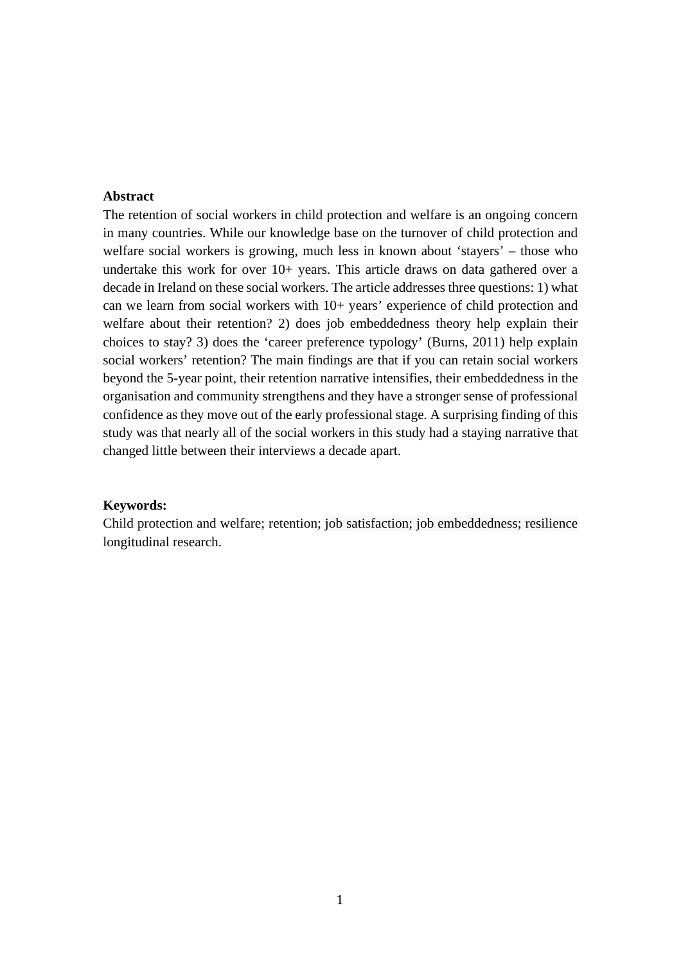## **Abstract**

The retention of social workers in child protection and welfare is an ongoing concern in many countries. While our knowledge base on the turnover of child protection and welfare social workers is growing, much less in known about 'stayers' – those who undertake this work for over 10+ years. This article draws on data gathered over a decade in Ireland on these social workers. The article addresses three questions: 1) what can we learn from social workers with 10+ years' experience of child protection and welfare about their retention? 2) does job embeddedness theory help explain their choices to stay? 3) does the 'career preference typology' (Burns, 2011) help explain social workers' retention? The main findings are that if you can retain social workers beyond the 5-year point, their retention narrative intensifies, their embeddedness in the organisation and community strengthens and they have a stronger sense of professional confidence as they move out of the early professional stage. A surprising finding of this study was that nearly all of the social workers in this study had a staying narrative that changed little between their interviews a decade apart.

#### **Keywords:**

Child protection and welfare; retention; job satisfaction; job embeddedness; resilience longitudinal research.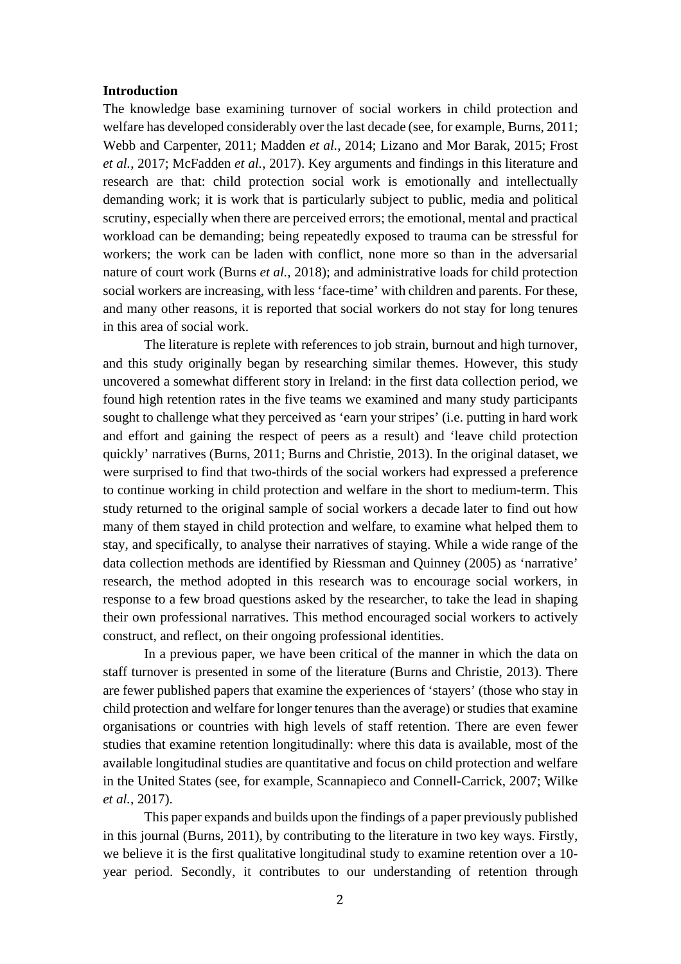### **Introduction**

The knowledge base examining turnover of social workers in child protection and welfare has developed considerably over the last decade (see, for example, Burns, 2011; Webb and Carpenter, 2011; Madden *et al.*, 2014; Lizano and Mor Barak, 2015; Frost *et al.*, 2017; McFadden *et al.*, 2017). Key arguments and findings in this literature and research are that: child protection social work is emotionally and intellectually demanding work; it is work that is particularly subject to public, media and political scrutiny, especially when there are perceived errors; the emotional, mental and practical workload can be demanding; being repeatedly exposed to trauma can be stressful for workers; the work can be laden with conflict, none more so than in the adversarial nature of court work (Burns *et al.*, 2018); and administrative loads for child protection social workers are increasing, with less 'face-time' with children and parents. For these, and many other reasons, it is reported that social workers do not stay for long tenures in this area of social work.

The literature is replete with references to job strain, burnout and high turnover, and this study originally began by researching similar themes. However, this study uncovered a somewhat different story in Ireland: in the first data collection period, we found high retention rates in the five teams we examined and many study participants sought to challenge what they perceived as 'earn your stripes' (i.e. putting in hard work and effort and gaining the respect of peers as a result) and 'leave child protection quickly' narratives (Burns, 2011; Burns and Christie, 2013). In the original dataset, we were surprised to find that two-thirds of the social workers had expressed a preference to continue working in child protection and welfare in the short to medium-term. This study returned to the original sample of social workers a decade later to find out how many of them stayed in child protection and welfare, to examine what helped them to stay, and specifically, to analyse their narratives of staying. While a wide range of the data collection methods are identified by Riessman and Quinney (2005) as 'narrative' research, the method adopted in this research was to encourage social workers, in response to a few broad questions asked by the researcher, to take the lead in shaping their own professional narratives. This method encouraged social workers to actively construct, and reflect, on their ongoing professional identities.

In a previous paper, we have been critical of the manner in which the data on staff turnover is presented in some of the literature (Burns and Christie, 2013). There are fewer published papers that examine the experiences of 'stayers' (those who stay in child protection and welfare for longer tenures than the average) or studies that examine organisations or countries with high levels of staff retention. There are even fewer studies that examine retention longitudinally: where this data is available, most of the available longitudinal studies are quantitative and focus on child protection and welfare in the United States (see, for example, Scannapieco and Connell-Carrick, 2007; Wilke *et al.*, 2017).

This paper expands and builds upon the findings of a paper previously published in this journal (Burns, 2011), by contributing to the literature in two key ways. Firstly, we believe it is the first qualitative longitudinal study to examine retention over a 10 year period. Secondly, it contributes to our understanding of retention through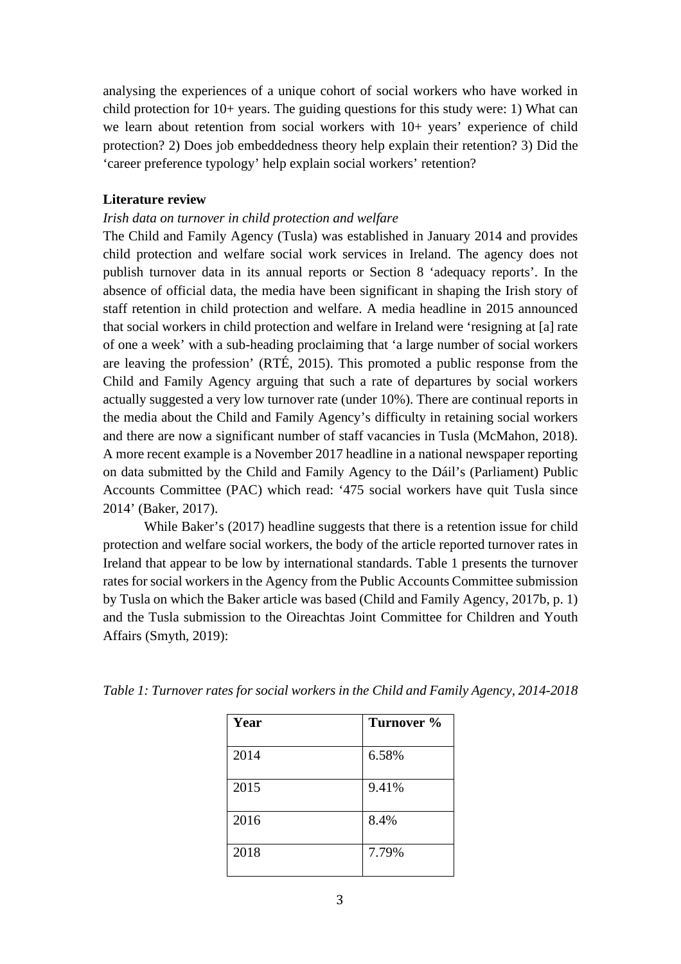analysing the experiences of a unique cohort of social workers who have worked in child protection for 10+ years. The guiding questions for this study were: 1) What can we learn about retention from social workers with 10+ years' experience of child protection? 2) Does job embeddedness theory help explain their retention? 3) Did the 'career preference typology' help explain social workers' retention?

# **Literature review**

## *Irish data on turnover in child protection and welfare*

The Child and Family Agency (Tusla) was established in January 2014 and provides child protection and welfare social work services in Ireland. The agency does not publish turnover data in its annual reports or Section 8 'adequacy reports'. In the absence of official data, the media have been significant in shaping the Irish story of staff retention in child protection and welfare. A media headline in 2015 announced that social workers in child protection and welfare in Ireland were 'resigning at [a] rate of one a week' with a sub-heading proclaiming that 'a large number of social workers are leaving the profession' (RTÉ, 2015). This promoted a public response from the Child and Family Agency arguing that such a rate of departures by social workers actually suggested a very low turnover rate (under 10%). There are continual reports in the media about the Child and Family Agency's difficulty in retaining social workers and there are now a significant number of staff vacancies in Tusla (McMahon, 2018). A more recent example is a November 2017 headline in a national newspaper reporting on data submitted by the Child and Family Agency to the Dáil's (Parliament) Public Accounts Committee (PAC) which read: '475 social workers have quit Tusla since 2014' (Baker, 2017).

While Baker's (2017) headline suggests that there is a retention issue for child protection and welfare social workers, the body of the article reported turnover rates in Ireland that appear to be low by international standards. Table 1 presents the turnover rates for social workers in the Agency from the Public Accounts Committee submission by Tusla on which the Baker article was based (Child and Family Agency, 2017b, p. 1) and the Tusla submission to the Oireachtas Joint Committee for Children and Youth Affairs (Smyth, 2019):

| Year | Turnover % |
|------|------------|
| 2014 | 6.58%      |
| 2015 | 9.41%      |
| 2016 | 8.4%       |
| 2018 | 7.79%      |

*Table 1: Turnover rates for social workers in the Child and Family Agency, 2014-2018*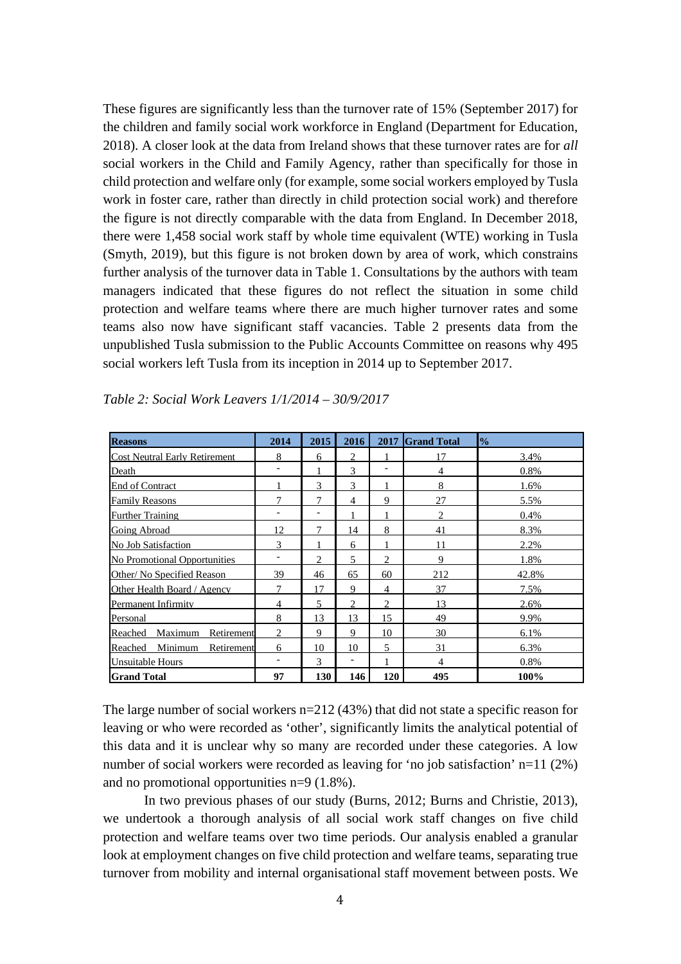These figures are significantly less than the turnover rate of 15% (September 2017) for the children and family social work workforce in England (Department for Education, 2018). A closer look at the data from Ireland shows that these turnover rates are for *all* social workers in the Child and Family Agency, rather than specifically for those in child protection and welfare only (for example, some social workers employed by Tusla work in foster care, rather than directly in child protection social work) and therefore the figure is not directly comparable with the data from England. In December 2018, there were 1,458 social work staff by whole time equivalent (WTE) working in Tusla (Smyth, 2019), but this figure is not broken down by area of work, which constrains further analysis of the turnover data in Table 1. Consultations by the authors with team managers indicated that these figures do not reflect the situation in some child protection and welfare teams where there are much higher turnover rates and some teams also now have significant staff vacancies. Table 2 presents data from the unpublished Tusla submission to the Public Accounts Committee on reasons why 495 social workers left Tusla from its inception in 2014 up to September 2017.

| <b>Reasons</b>                       | 2014                     | 2015                         | 2016                        | 2017           | <b>Grand Total</b> | $\frac{1}{2}$ |
|--------------------------------------|--------------------------|------------------------------|-----------------------------|----------------|--------------------|---------------|
| <b>Cost Neutral Early Retirement</b> | 8                        | 6                            | $\mathcal{D}_{\mathcal{L}}$ |                | 17                 | 3.4%          |
| Death                                |                          |                              | 3                           | ۳              | 4                  | 0.8%          |
| <b>End of Contract</b>               |                          | $\mathcal{F}$                | $\mathcal{F}$               |                | 8                  | 1.6%          |
| <b>Family Reasons</b>                | 7                        | 7                            | 4                           | 9              | 27                 | 5.5%          |
| <b>Further Training</b>              | ۰                        | $\qquad \qquad \blacksquare$ |                             |                | $\overline{2}$     | 0.4%          |
| Going Abroad                         | 12                       | 7                            | 14                          | 8              | 41                 | 8.3%          |
| No Job Satisfaction                  | 3                        |                              | 6                           |                | 11                 | 2.2%          |
| <b>No Promotional Opportunities</b>  |                          | $\overline{c}$               | 5                           | 2              | 9                  | 1.8%          |
| Other/No Specified Reason            | 39                       | 46                           | 65                          | 60             | 212                | 42.8%         |
| Other Health Board / Agency          | 7                        | 17                           | 9                           | $\overline{4}$ | 37                 | 7.5%          |
| Permanent Infirmity                  | $\overline{4}$           | 5                            | $\overline{c}$              | 2              | 13                 | 2.6%          |
| Personal                             | 8                        | 13                           | 13                          | 15             | 49                 | 9.9%          |
| Maximum<br>Retirement<br>Reached     | 2                        | 9                            | 9                           | 10             | 30                 | 6.1%          |
| Minimum<br>Reached<br>Retirement     | 6                        | 10                           | 10                          | 5              | 31                 | 6.3%          |
| Unsuitable Hours                     | $\overline{\phantom{a}}$ | 3                            | $\overline{\phantom{0}}$    | 1              | 4                  | 0.8%          |
| <b>Grand Total</b>                   | 97                       | 130                          | 146                         | 120            | 495                | 100%          |

*Table 2: Social Work Leavers 1/1/2014 – 30/9/2017*

The large number of social workers  $n=212$  (43%) that did not state a specific reason for leaving or who were recorded as 'other', significantly limits the analytical potential of this data and it is unclear why so many are recorded under these categories. A low number of social workers were recorded as leaving for 'no job satisfaction' n=11 (2%) and no promotional opportunities n=9 (1.8%).

In two previous phases of our study (Burns, 2012; Burns and Christie, 2013), we undertook a thorough analysis of all social work staff changes on five child protection and welfare teams over two time periods. Our analysis enabled a granular look at employment changes on five child protection and welfare teams, separating true turnover from mobility and internal organisational staff movement between posts. We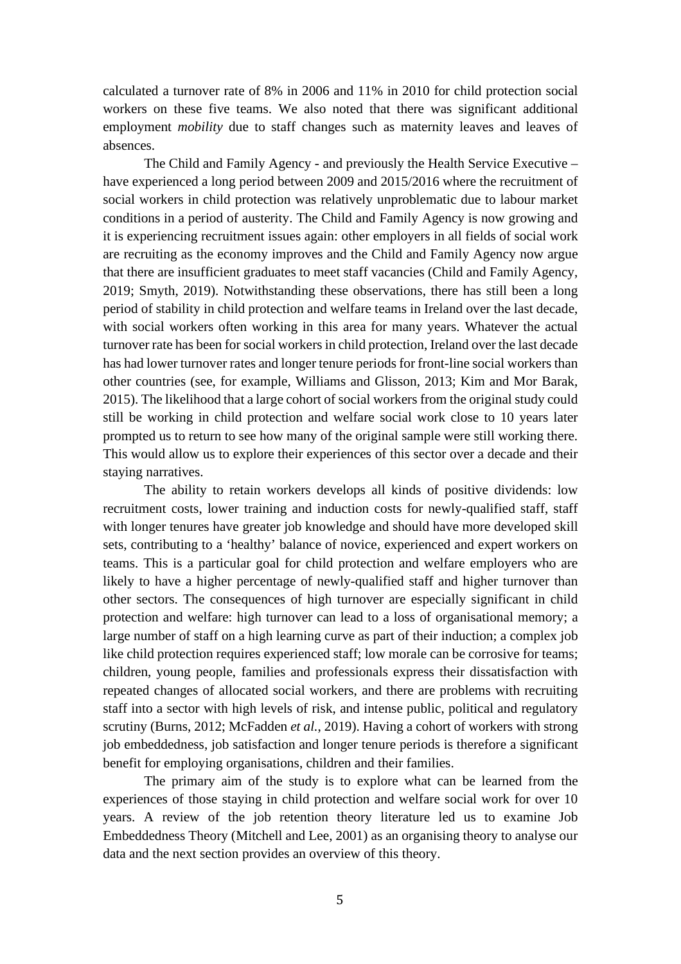calculated a turnover rate of 8% in 2006 and 11% in 2010 for child protection social workers on these five teams. We also noted that there was significant additional employment *mobility* due to staff changes such as maternity leaves and leaves of absences.

The Child and Family Agency - and previously the Health Service Executive – have experienced a long period between 2009 and 2015/2016 where the recruitment of social workers in child protection was relatively unproblematic due to labour market conditions in a period of austerity. The Child and Family Agency is now growing and it is experiencing recruitment issues again: other employers in all fields of social work are recruiting as the economy improves and the Child and Family Agency now argue that there are insufficient graduates to meet staff vacancies (Child and Family Agency, 2019; Smyth, 2019). Notwithstanding these observations, there has still been a long period of stability in child protection and welfare teams in Ireland over the last decade, with social workers often working in this area for many years. Whatever the actual turnover rate has been for social workers in child protection, Ireland over the last decade has had lower turnover rates and longer tenure periods for front-line social workers than other countries (see, for example, Williams and Glisson, 2013; Kim and Mor Barak, 2015). The likelihood that a large cohort of social workers from the original study could still be working in child protection and welfare social work close to 10 years later prompted us to return to see how many of the original sample were still working there. This would allow us to explore their experiences of this sector over a decade and their staying narratives.

The ability to retain workers develops all kinds of positive dividends: low recruitment costs, lower training and induction costs for newly-qualified staff, staff with longer tenures have greater job knowledge and should have more developed skill sets, contributing to a 'healthy' balance of novice, experienced and expert workers on teams. This is a particular goal for child protection and welfare employers who are likely to have a higher percentage of newly-qualified staff and higher turnover than other sectors. The consequences of high turnover are especially significant in child protection and welfare: high turnover can lead to a loss of organisational memory; a large number of staff on a high learning curve as part of their induction; a complex job like child protection requires experienced staff; low morale can be corrosive for teams; children, young people, families and professionals express their dissatisfaction with repeated changes of allocated social workers, and there are problems with recruiting staff into a sector with high levels of risk, and intense public, political and regulatory scrutiny (Burns, 2012; McFadden *et al.*, 2019). Having a cohort of workers with strong job embeddedness, job satisfaction and longer tenure periods is therefore a significant benefit for employing organisations, children and their families.

The primary aim of the study is to explore what can be learned from the experiences of those staying in child protection and welfare social work for over 10 years. A review of the job retention theory literature led us to examine Job Embeddedness Theory (Mitchell and Lee, 2001) as an organising theory to analyse our data and the next section provides an overview of this theory.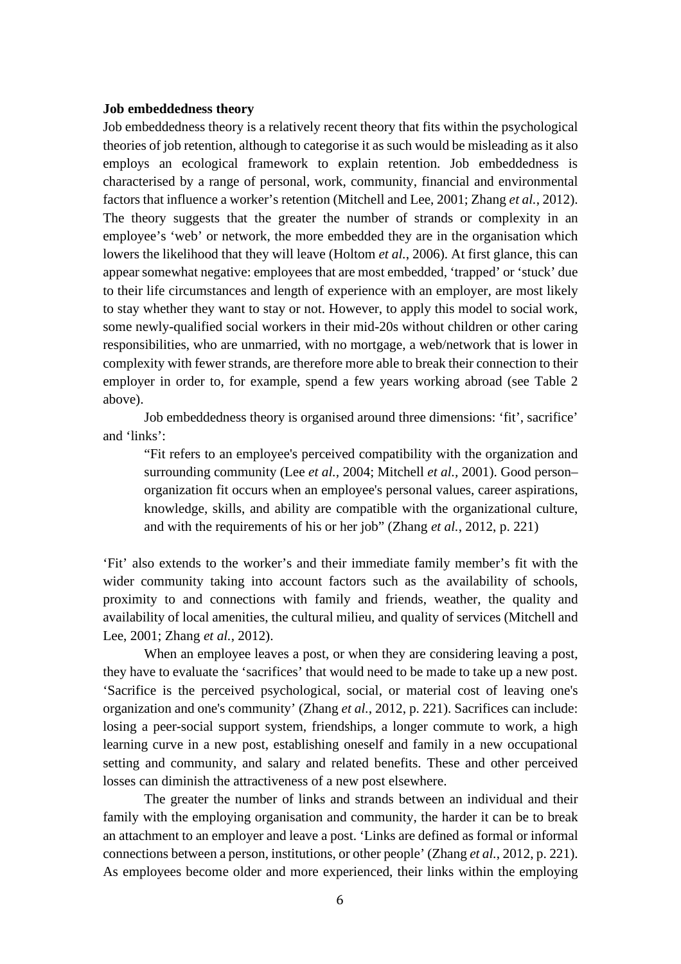### **Job embeddedness theory**

Job embeddedness theory is a relatively recent theory that fits within the psychological theories of job retention, although to categorise it as such would be misleading as it also employs an ecological framework to explain retention. Job embeddedness is characterised by a range of personal, work, community, financial and environmental factors that influence a worker's retention (Mitchell and Lee, 2001; Zhang *et al.*, 2012). The theory suggests that the greater the number of strands or complexity in an employee's 'web' or network, the more embedded they are in the organisation which lowers the likelihood that they will leave (Holtom *et al.*, 2006). At first glance, this can appear somewhat negative: employees that are most embedded, 'trapped' or 'stuck' due to their life circumstances and length of experience with an employer, are most likely to stay whether they want to stay or not. However, to apply this model to social work, some newly-qualified social workers in their mid-20s without children or other caring responsibilities, who are unmarried, with no mortgage, a web/network that is lower in complexity with fewer strands, are therefore more able to break their connection to their employer in order to, for example, spend a few years working abroad (see Table 2 above).

Job embeddedness theory is organised around three dimensions: 'fit', sacrifice' and 'links':

"Fit refers to an employee's perceived compatibility with the organization and surrounding community (Lee *et al.,* 2004; Mitchell *et al.,* 2001). Good person– organization fit occurs when an employee's personal values, career aspirations, knowledge, skills, and ability are compatible with the organizational culture, and with the requirements of his or her job" (Zhang *et al.*, 2012, p. 221)

'Fit' also extends to the worker's and their immediate family member's fit with the wider community taking into account factors such as the availability of schools, proximity to and connections with family and friends, weather, the quality and availability of local amenities, the cultural milieu, and quality of services (Mitchell and Lee, 2001; Zhang *et al.*, 2012).

When an employee leaves a post, or when they are considering leaving a post, they have to evaluate the 'sacrifices' that would need to be made to take up a new post. 'Sacrifice is the perceived psychological, social, or material cost of leaving one's organization and one's community' (Zhang *et al.*, 2012, p. 221). Sacrifices can include: losing a peer-social support system, friendships, a longer commute to work, a high learning curve in a new post, establishing oneself and family in a new occupational setting and community, and salary and related benefits. These and other perceived losses can diminish the attractiveness of a new post elsewhere.

The greater the number of links and strands between an individual and their family with the employing organisation and community, the harder it can be to break an attachment to an employer and leave a post. 'Links are defined as formal or informal connections between a person, institutions, or other people' (Zhang *et al.*, 2012, p. 221). As employees become older and more experienced, their links within the employing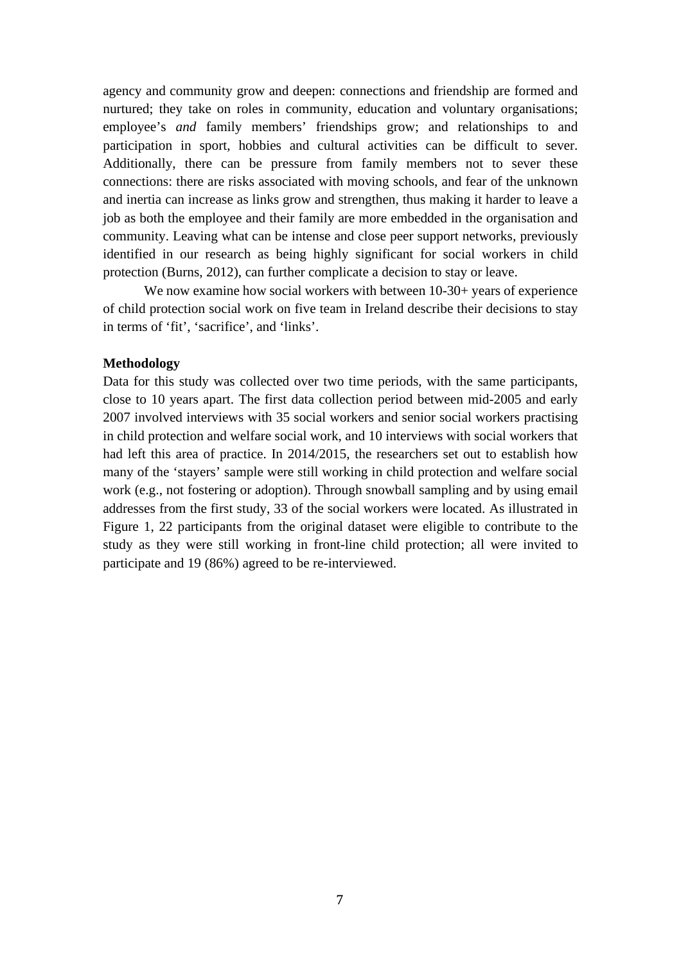agency and community grow and deepen: connections and friendship are formed and nurtured; they take on roles in community, education and voluntary organisations; employee's *and* family members' friendships grow; and relationships to and participation in sport, hobbies and cultural activities can be difficult to sever. Additionally, there can be pressure from family members not to sever these connections: there are risks associated with moving schools, and fear of the unknown and inertia can increase as links grow and strengthen, thus making it harder to leave a job as both the employee and their family are more embedded in the organisation and community. Leaving what can be intense and close peer support networks, previously identified in our research as being highly significant for social workers in child protection (Burns, 2012), can further complicate a decision to stay or leave.

We now examine how social workers with between  $10-30+$  years of experience of child protection social work on five team in Ireland describe their decisions to stay in terms of 'fit', 'sacrifice', and 'links'.

### **Methodology**

Data for this study was collected over two time periods, with the same participants, close to 10 years apart. The first data collection period between mid-2005 and early 2007 involved interviews with 35 social workers and senior social workers practising in child protection and welfare social work, and 10 interviews with social workers that had left this area of practice. In 2014/2015, the researchers set out to establish how many of the 'stayers' sample were still working in child protection and welfare social work (e.g., not fostering or adoption). Through snowball sampling and by using email addresses from the first study, 33 of the social workers were located. As illustrated in Figure 1, 22 participants from the original dataset were eligible to contribute to the study as they were still working in front-line child protection; all were invited to participate and 19 (86%) agreed to be re-interviewed.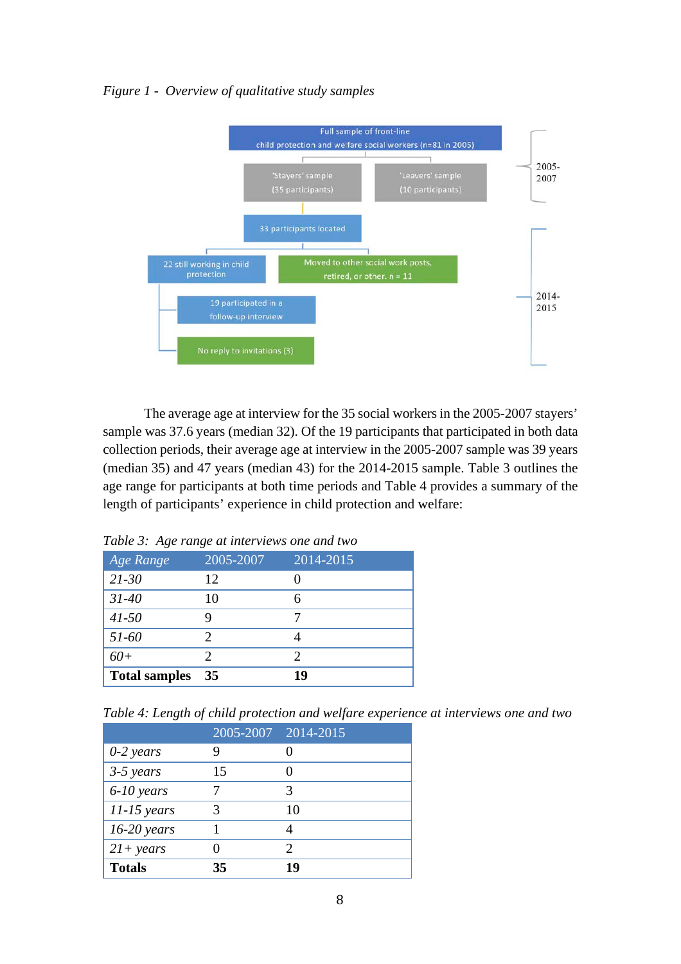# *Figure 1 - Overview of qualitative study samples*



The average age at interview for the 35 social workers in the 2005-2007 stayers' sample was 37.6 years (median 32). Of the 19 participants that participated in both data collection periods, their average age at interview in the 2005-2007 sample was 39 years (median 35) and 47 years (median 43) for the 2014-2015 sample. Table 3 outlines the age range for participants at both time periods and Table 4 provides a summary of the length of participants' experience in child protection and welfare:

| Age Range            | 2005-2007 | 2014-2015 |
|----------------------|-----------|-----------|
| $21 - 30$            | 12        |           |
| $31 - 40$            | 10        | 6         |
| $41 - 50$            |           |           |
| 51-60                | 2         |           |
| $60+$                |           | 2         |
| <b>Total samples</b> | 35        | 19        |

*Table 3: Age range at interviews one and two*

*Table 4: Length of child protection and welfare experience at interviews one and two*

|               | 2005-2007 2014-2015 |    |
|---------------|---------------------|----|
| $0-2$ years   |                     |    |
| $3-5$ years   | 15                  |    |
| $6-10$ years  |                     |    |
| $11-15$ years |                     | 10 |
| $16-20$ years |                     |    |
| $21+ years$   |                     |    |
| <b>Totals</b> | 35                  | 19 |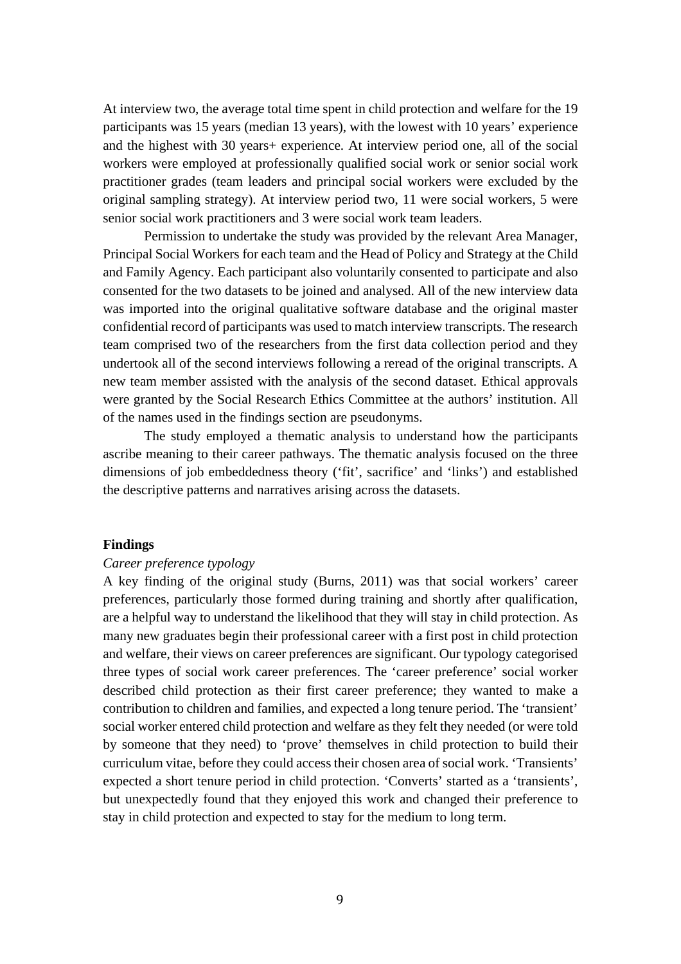At interview two, the average total time spent in child protection and welfare for the 19 participants was 15 years (median 13 years), with the lowest with 10 years' experience and the highest with 30 years+ experience. At interview period one, all of the social workers were employed at professionally qualified social work or senior social work practitioner grades (team leaders and principal social workers were excluded by the original sampling strategy). At interview period two, 11 were social workers, 5 were senior social work practitioners and 3 were social work team leaders.

Permission to undertake the study was provided by the relevant Area Manager, Principal Social Workers for each team and the Head of Policy and Strategy at the Child and Family Agency. Each participant also voluntarily consented to participate and also consented for the two datasets to be joined and analysed. All of the new interview data was imported into the original qualitative software database and the original master confidential record of participants was used to match interview transcripts. The research team comprised two of the researchers from the first data collection period and they undertook all of the second interviews following a reread of the original transcripts. A new team member assisted with the analysis of the second dataset. Ethical approvals were granted by the Social Research Ethics Committee at the authors' institution. All of the names used in the findings section are pseudonyms.

The study employed a thematic analysis to understand how the participants ascribe meaning to their career pathways. The thematic analysis focused on the three dimensions of job embeddedness theory ('fit', sacrifice' and 'links') and established the descriptive patterns and narratives arising across the datasets.

## **Findings**

## *Career preference typology*

A key finding of the original study (Burns, 2011) was that social workers' career preferences, particularly those formed during training and shortly after qualification, are a helpful way to understand the likelihood that they will stay in child protection. As many new graduates begin their professional career with a first post in child protection and welfare, their views on career preferences are significant. Our typology categorised three types of social work career preferences. The 'career preference' social worker described child protection as their first career preference; they wanted to make a contribution to children and families, and expected a long tenure period. The 'transient' social worker entered child protection and welfare as they felt they needed (or were told by someone that they need) to 'prove' themselves in child protection to build their curriculum vitae, before they could access their chosen area of social work. 'Transients' expected a short tenure period in child protection. 'Converts' started as a 'transients', but unexpectedly found that they enjoyed this work and changed their preference to stay in child protection and expected to stay for the medium to long term.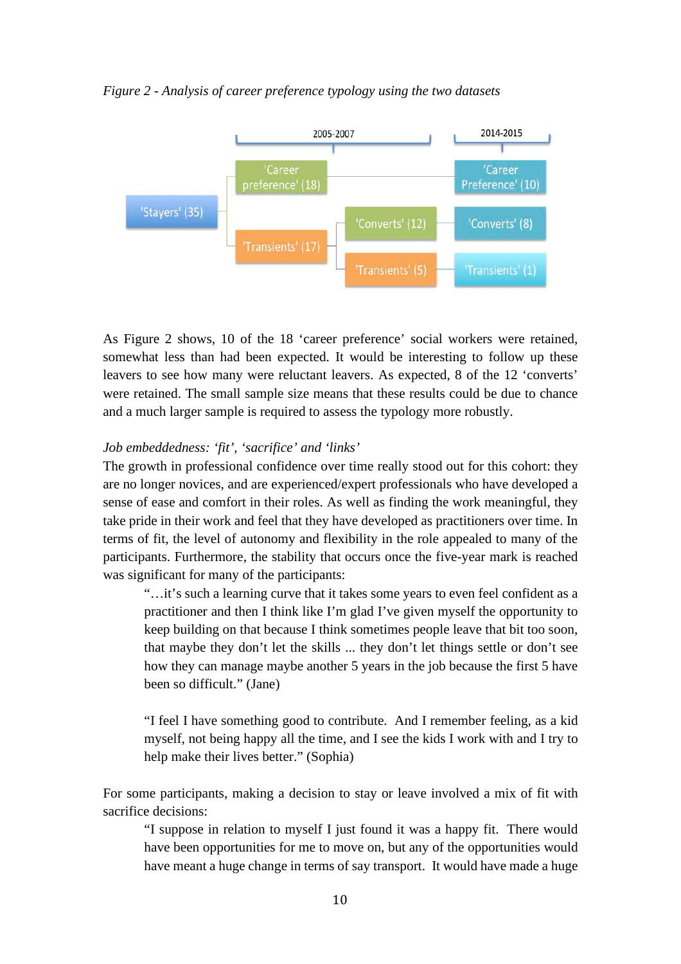### *Figure 2 - Analysis of career preference typology using the two datasets*



As Figure 2 shows, 10 of the 18 'career preference' social workers were retained, somewhat less than had been expected. It would be interesting to follow up these leavers to see how many were reluctant leavers. As expected, 8 of the 12 'converts' were retained. The small sample size means that these results could be due to chance and a much larger sample is required to assess the typology more robustly.

# *Job embeddedness: 'fit', 'sacrifice' and 'links'*

The growth in professional confidence over time really stood out for this cohort: they are no longer novices, and are experienced/expert professionals who have developed a sense of ease and comfort in their roles. As well as finding the work meaningful, they take pride in their work and feel that they have developed as practitioners over time. In terms of fit, the level of autonomy and flexibility in the role appealed to many of the participants. Furthermore, the stability that occurs once the five-year mark is reached was significant for many of the participants:

"…it's such a learning curve that it takes some years to even feel confident as a practitioner and then I think like I'm glad I've given myself the opportunity to keep building on that because I think sometimes people leave that bit too soon, that maybe they don't let the skills ... they don't let things settle or don't see how they can manage maybe another 5 years in the job because the first 5 have been so difficult." (Jane)

"I feel I have something good to contribute. And I remember feeling, as a kid myself, not being happy all the time, and I see the kids I work with and I try to help make their lives better." (Sophia)

For some participants, making a decision to stay or leave involved a mix of fit with sacrifice decisions:

"I suppose in relation to myself I just found it was a happy fit. There would have been opportunities for me to move on, but any of the opportunities would have meant a huge change in terms of say transport. It would have made a huge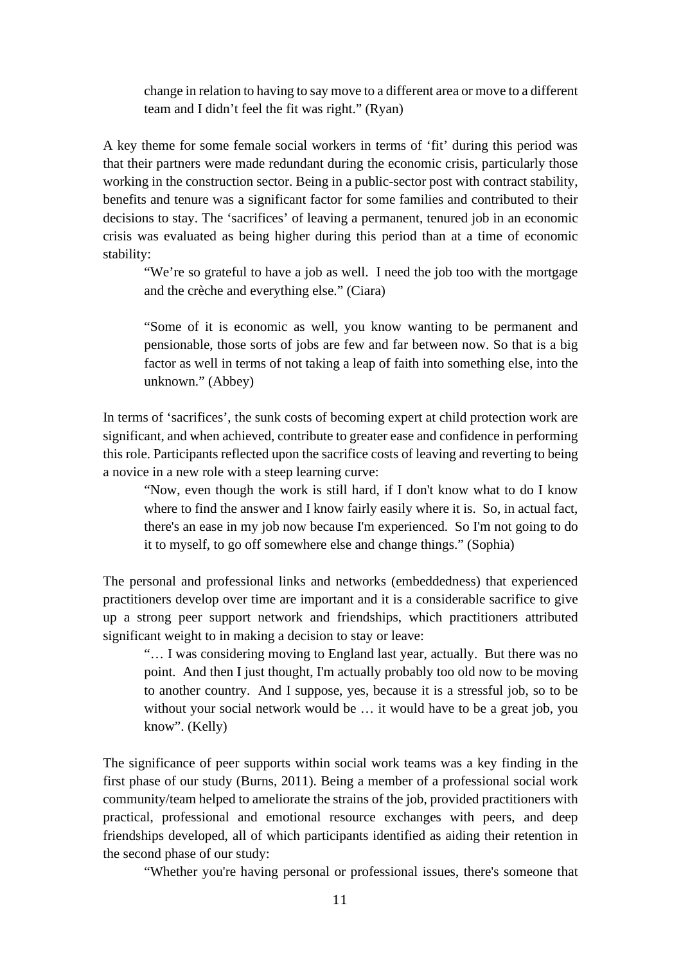change in relation to having to say move to a different area or move to a different team and I didn't feel the fit was right." (Ryan)

A key theme for some female social workers in terms of 'fit' during this period was that their partners were made redundant during the economic crisis, particularly those working in the construction sector. Being in a public-sector post with contract stability, benefits and tenure was a significant factor for some families and contributed to their decisions to stay. The 'sacrifices' of leaving a permanent, tenured job in an economic crisis was evaluated as being higher during this period than at a time of economic stability:

"We're so grateful to have a job as well. I need the job too with the mortgage and the crèche and everything else." (Ciara)

"Some of it is economic as well, you know wanting to be permanent and pensionable, those sorts of jobs are few and far between now. So that is a big factor as well in terms of not taking a leap of faith into something else, into the unknown." (Abbey)

In terms of 'sacrifices', the sunk costs of becoming expert at child protection work are significant, and when achieved, contribute to greater ease and confidence in performing this role. Participants reflected upon the sacrifice costs of leaving and reverting to being a novice in a new role with a steep learning curve:

"Now, even though the work is still hard, if I don't know what to do I know where to find the answer and I know fairly easily where it is. So, in actual fact, there's an ease in my job now because I'm experienced. So I'm not going to do it to myself, to go off somewhere else and change things." (Sophia)

The personal and professional links and networks (embeddedness) that experienced practitioners develop over time are important and it is a considerable sacrifice to give up a strong peer support network and friendships, which practitioners attributed significant weight to in making a decision to stay or leave:

"… I was considering moving to England last year, actually. But there was no point. And then I just thought, I'm actually probably too old now to be moving to another country. And I suppose, yes, because it is a stressful job, so to be without your social network would be … it would have to be a great job, you know". (Kelly)

The significance of peer supports within social work teams was a key finding in the first phase of our study (Burns, 2011). Being a member of a professional social work community/team helped to ameliorate the strains of the job, provided practitioners with practical, professional and emotional resource exchanges with peers, and deep friendships developed, all of which participants identified as aiding their retention in the second phase of our study:

"Whether you're having personal or professional issues, there's someone that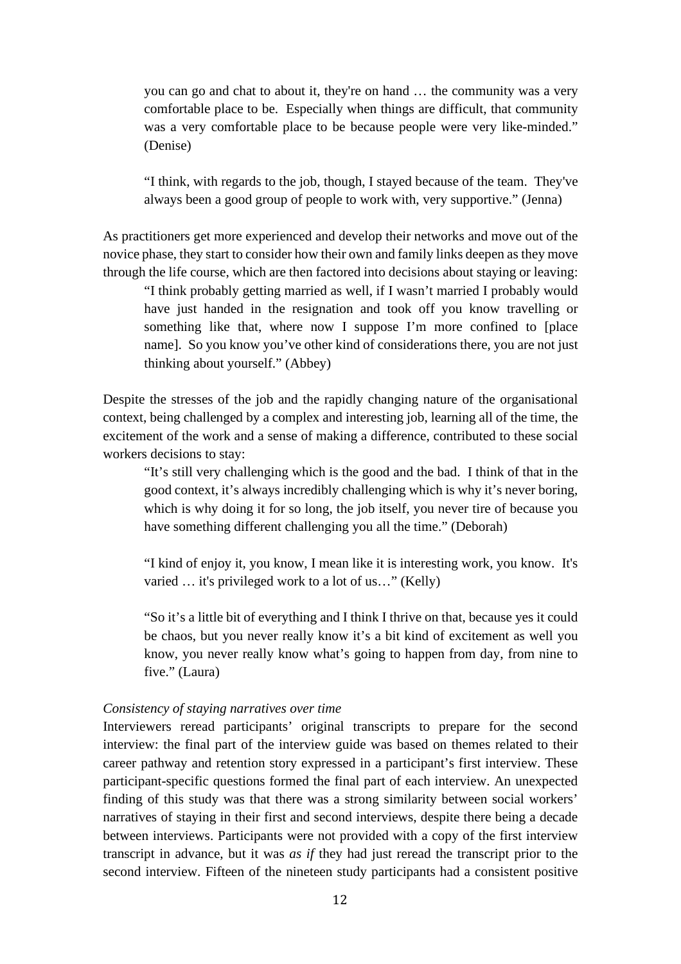you can go and chat to about it, they're on hand … the community was a very comfortable place to be. Especially when things are difficult, that community was a very comfortable place to be because people were very like-minded." (Denise)

"I think, with regards to the job, though, I stayed because of the team. They've always been a good group of people to work with, very supportive." (Jenna)

As practitioners get more experienced and develop their networks and move out of the novice phase, they start to consider how their own and family links deepen as they move through the life course, which are then factored into decisions about staying or leaving:

"I think probably getting married as well, if I wasn't married I probably would have just handed in the resignation and took off you know travelling or something like that, where now I suppose I'm more confined to [place name]. So you know you've other kind of considerations there, you are not just thinking about yourself." (Abbey)

Despite the stresses of the job and the rapidly changing nature of the organisational context, being challenged by a complex and interesting job, learning all of the time, the excitement of the work and a sense of making a difference, contributed to these social workers decisions to stay:

"It's still very challenging which is the good and the bad. I think of that in the good context, it's always incredibly challenging which is why it's never boring, which is why doing it for so long, the job itself, you never tire of because you have something different challenging you all the time." (Deborah)

"I kind of enjoy it, you know, I mean like it is interesting work, you know. It's varied … it's privileged work to a lot of us…" (Kelly)

"So it's a little bit of everything and I think I thrive on that, because yes it could be chaos, but you never really know it's a bit kind of excitement as well you know, you never really know what's going to happen from day, from nine to five." (Laura)

### *Consistency of staying narratives over time*

Interviewers reread participants' original transcripts to prepare for the second interview: the final part of the interview guide was based on themes related to their career pathway and retention story expressed in a participant's first interview. These participant-specific questions formed the final part of each interview. An unexpected finding of this study was that there was a strong similarity between social workers' narratives of staying in their first and second interviews, despite there being a decade between interviews. Participants were not provided with a copy of the first interview transcript in advance, but it was *as if* they had just reread the transcript prior to the second interview. Fifteen of the nineteen study participants had a consistent positive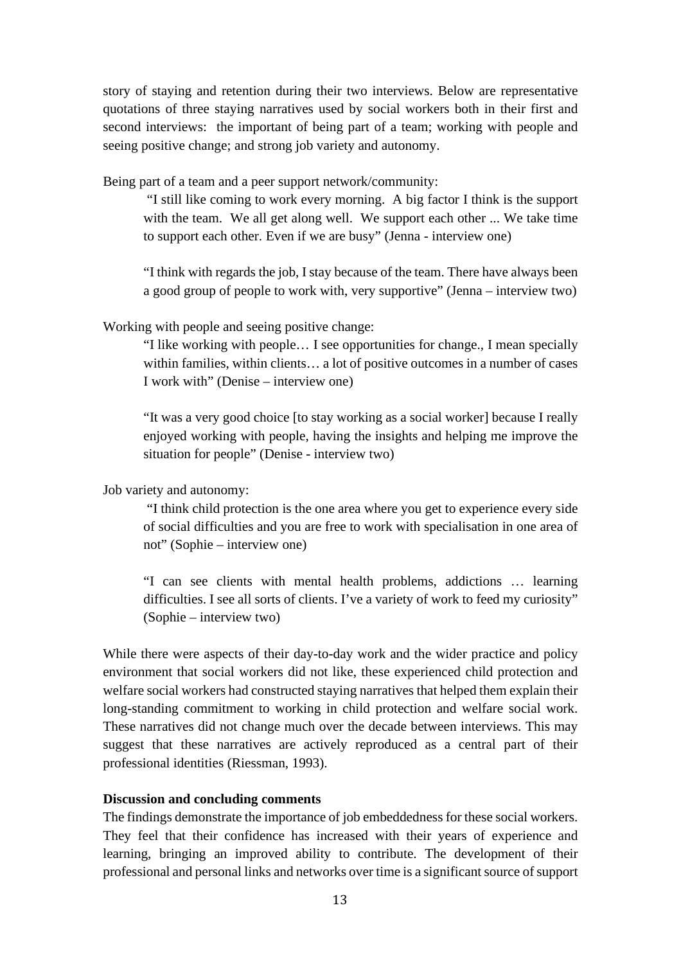story of staying and retention during their two interviews. Below are representative quotations of three staying narratives used by social workers both in their first and second interviews: the important of being part of a team; working with people and seeing positive change; and strong job variety and autonomy.

Being part of a team and a peer support network/community:

"I still like coming to work every morning. A big factor I think is the support with the team. We all get along well. We support each other ... We take time to support each other. Even if we are busy" (Jenna - interview one)

"I think with regards the job, I stay because of the team. There have always been a good group of people to work with, very supportive" (Jenna – interview two)

Working with people and seeing positive change:

"I like working with people… I see opportunities for change., I mean specially within families, within clients… a lot of positive outcomes in a number of cases I work with" (Denise – interview one)

"It was a very good choice [to stay working as a social worker] because I really enjoyed working with people, having the insights and helping me improve the situation for people" (Denise - interview two)

Job variety and autonomy:

"I think child protection is the one area where you get to experience every side of social difficulties and you are free to work with specialisation in one area of not" (Sophie – interview one)

"I can see clients with mental health problems, addictions … learning difficulties. I see all sorts of clients. I've a variety of work to feed my curiosity" (Sophie – interview two)

While there were aspects of their day-to-day work and the wider practice and policy environment that social workers did not like, these experienced child protection and welfare social workers had constructed staying narratives that helped them explain their long-standing commitment to working in child protection and welfare social work. These narratives did not change much over the decade between interviews. This may suggest that these narratives are actively reproduced as a central part of their professional identities (Riessman, 1993).

# **Discussion and concluding comments**

The findings demonstrate the importance of job embeddedness for these social workers. They feel that their confidence has increased with their years of experience and learning, bringing an improved ability to contribute. The development of their professional and personal links and networks over time is a significant source of support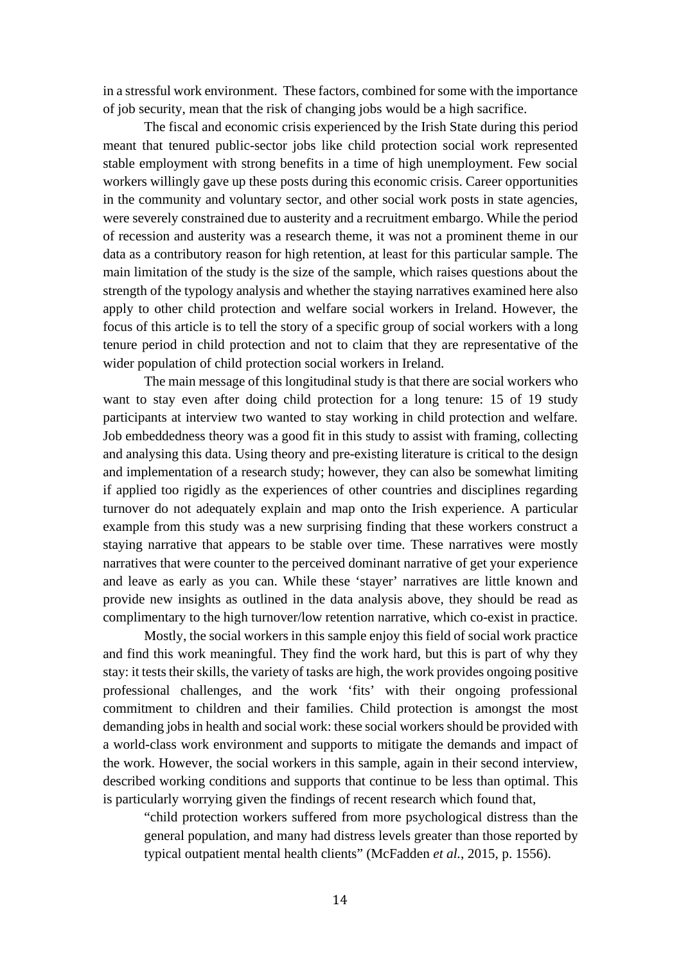in a stressful work environment. These factors, combined for some with the importance of job security, mean that the risk of changing jobs would be a high sacrifice.

The fiscal and economic crisis experienced by the Irish State during this period meant that tenured public-sector jobs like child protection social work represented stable employment with strong benefits in a time of high unemployment. Few social workers willingly gave up these posts during this economic crisis. Career opportunities in the community and voluntary sector, and other social work posts in state agencies, were severely constrained due to austerity and a recruitment embargo. While the period of recession and austerity was a research theme, it was not a prominent theme in our data as a contributory reason for high retention, at least for this particular sample. The main limitation of the study is the size of the sample, which raises questions about the strength of the typology analysis and whether the staying narratives examined here also apply to other child protection and welfare social workers in Ireland. However, the focus of this article is to tell the story of a specific group of social workers with a long tenure period in child protection and not to claim that they are representative of the wider population of child protection social workers in Ireland.

The main message of this longitudinal study is that there are social workers who want to stay even after doing child protection for a long tenure: 15 of 19 study participants at interview two wanted to stay working in child protection and welfare. Job embeddedness theory was a good fit in this study to assist with framing, collecting and analysing this data. Using theory and pre-existing literature is critical to the design and implementation of a research study; however, they can also be somewhat limiting if applied too rigidly as the experiences of other countries and disciplines regarding turnover do not adequately explain and map onto the Irish experience. A particular example from this study was a new surprising finding that these workers construct a staying narrative that appears to be stable over time. These narratives were mostly narratives that were counter to the perceived dominant narrative of get your experience and leave as early as you can. While these 'stayer' narratives are little known and provide new insights as outlined in the data analysis above, they should be read as complimentary to the high turnover/low retention narrative, which co-exist in practice.

Mostly, the social workers in this sample enjoy this field of social work practice and find this work meaningful. They find the work hard, but this is part of why they stay: it tests their skills, the variety of tasks are high, the work provides ongoing positive professional challenges, and the work 'fits' with their ongoing professional commitment to children and their families. Child protection is amongst the most demanding jobs in health and social work: these social workers should be provided with a world-class work environment and supports to mitigate the demands and impact of the work. However, the social workers in this sample, again in their second interview, described working conditions and supports that continue to be less than optimal. This is particularly worrying given the findings of recent research which found that,

"child protection workers suffered from more psychological distress than the general population, and many had distress levels greater than those reported by typical outpatient mental health clients" (McFadden *et al.*, 2015, p. 1556).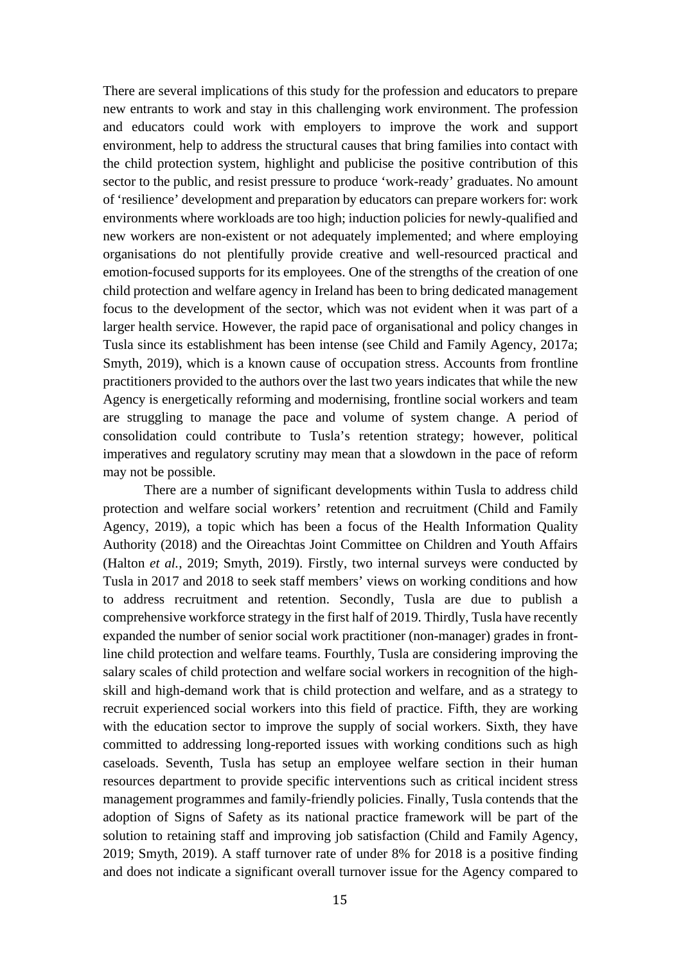There are several implications of this study for the profession and educators to prepare new entrants to work and stay in this challenging work environment. The profession and educators could work with employers to improve the work and support environment, help to address the structural causes that bring families into contact with the child protection system, highlight and publicise the positive contribution of this sector to the public, and resist pressure to produce 'work-ready' graduates. No amount of 'resilience' development and preparation by educators can prepare workers for: work environments where workloads are too high; induction policies for newly-qualified and new workers are non-existent or not adequately implemented; and where employing organisations do not plentifully provide creative and well-resourced practical and emotion-focused supports for its employees. One of the strengths of the creation of one child protection and welfare agency in Ireland has been to bring dedicated management focus to the development of the sector, which was not evident when it was part of a larger health service. However, the rapid pace of organisational and policy changes in Tusla since its establishment has been intense (see Child and Family Agency, 2017a; Smyth, 2019), which is a known cause of occupation stress. Accounts from frontline practitioners provided to the authors over the last two years indicates that while the new Agency is energetically reforming and modernising, frontline social workers and team are struggling to manage the pace and volume of system change. A period of consolidation could contribute to Tusla's retention strategy; however, political imperatives and regulatory scrutiny may mean that a slowdown in the pace of reform may not be possible.

There are a number of significant developments within Tusla to address child protection and welfare social workers' retention and recruitment (Child and Family Agency, 2019), a topic which has been a focus of the Health Information Quality Authority (2018) and the Oireachtas Joint Committee on Children and Youth Affairs (Halton *et al.*, 2019; Smyth, 2019). Firstly, two internal surveys were conducted by Tusla in 2017 and 2018 to seek staff members' views on working conditions and how to address recruitment and retention. Secondly, Tusla are due to publish a comprehensive workforce strategy in the first half of 2019. Thirdly, Tusla have recently expanded the number of senior social work practitioner (non-manager) grades in frontline child protection and welfare teams. Fourthly, Tusla are considering improving the salary scales of child protection and welfare social workers in recognition of the highskill and high-demand work that is child protection and welfare, and as a strategy to recruit experienced social workers into this field of practice. Fifth, they are working with the education sector to improve the supply of social workers. Sixth, they have committed to addressing long-reported issues with working conditions such as high caseloads. Seventh, Tusla has setup an employee welfare section in their human resources department to provide specific interventions such as critical incident stress management programmes and family-friendly policies. Finally, Tusla contends that the adoption of Signs of Safety as its national practice framework will be part of the solution to retaining staff and improving job satisfaction (Child and Family Agency, 2019; Smyth, 2019). A staff turnover rate of under 8% for 2018 is a positive finding and does not indicate a significant overall turnover issue for the Agency compared to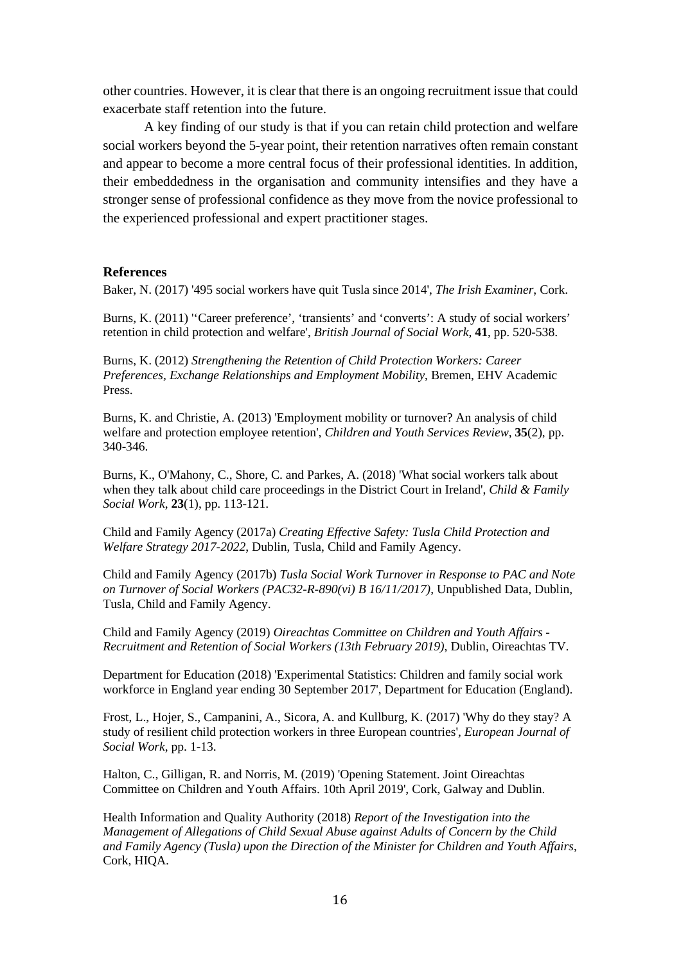other countries. However, it is clear that there is an ongoing recruitment issue that could exacerbate staff retention into the future.

A key finding of our study is that if you can retain child protection and welfare social workers beyond the 5-year point, their retention narratives often remain constant and appear to become a more central focus of their professional identities. In addition, their embeddedness in the organisation and community intensifies and they have a stronger sense of professional confidence as they move from the novice professional to the experienced professional and expert practitioner stages.

### **References**

Baker, N. (2017) '495 social workers have quit Tusla since 2014', *The Irish Examiner*, Cork.

Burns, K. (2011) "Career preference', 'transients' and 'converts': A study of social workers' retention in child protection and welfare', *British Journal of Social Work*, **41**, pp. 520-538.

Burns, K. (2012) *Strengthening the Retention of Child Protection Workers: Career Preferences, Exchange Relationships and Employment Mobility*, Bremen, EHV Academic Press.

Burns, K. and Christie, A. (2013) 'Employment mobility or turnover? An analysis of child welfare and protection employee retention', *Children and Youth Services Review*, **35**(2), pp. 340-346.

Burns, K., O'Mahony, C., Shore, C. and Parkes, A. (2018) 'What social workers talk about when they talk about child care proceedings in the District Court in Ireland', *Child & Family Social Work*, **23**(1), pp. 113-121.

Child and Family Agency (2017a) *Creating Effective Safety: Tusla Child Protection and Welfare Strategy 2017-2022*, Dublin, Tusla, Child and Family Agency.

Child and Family Agency (2017b) *Tusla Social Work Turnover in Response to PAC and Note on Turnover of Social Workers (PAC32-R-890(vi) B 16/11/2017)*, Unpublished Data, Dublin, Tusla, Child and Family Agency.

Child and Family Agency (2019) *Oireachtas Committee on Children and Youth Affairs - Recruitment and Retention of Social Workers (13th February 2019)*, Dublin, Oireachtas TV.

Department for Education (2018) 'Experimental Statistics: Children and family social work workforce in England year ending 30 September 2017', Department for Education (England).

Frost, L., Hojer, S., Campanini, A., Sicora, A. and Kullburg, K. (2017) 'Why do they stay? A study of resilient child protection workers in three European countries', *European Journal of Social Work*, pp. 1-13.

Halton, C., Gilligan, R. and Norris, M. (2019) 'Opening Statement. Joint Oireachtas Committee on Children and Youth Affairs. 10th April 2019', Cork, Galway and Dublin.

Health Information and Quality Authority (2018) *Report of the Investigation into the Management of Allegations of Child Sexual Abuse against Adults of Concern by the Child and Family Agency (Tusla) upon the Direction of the Minister for Children and Youth Affairs*, Cork, HIQA.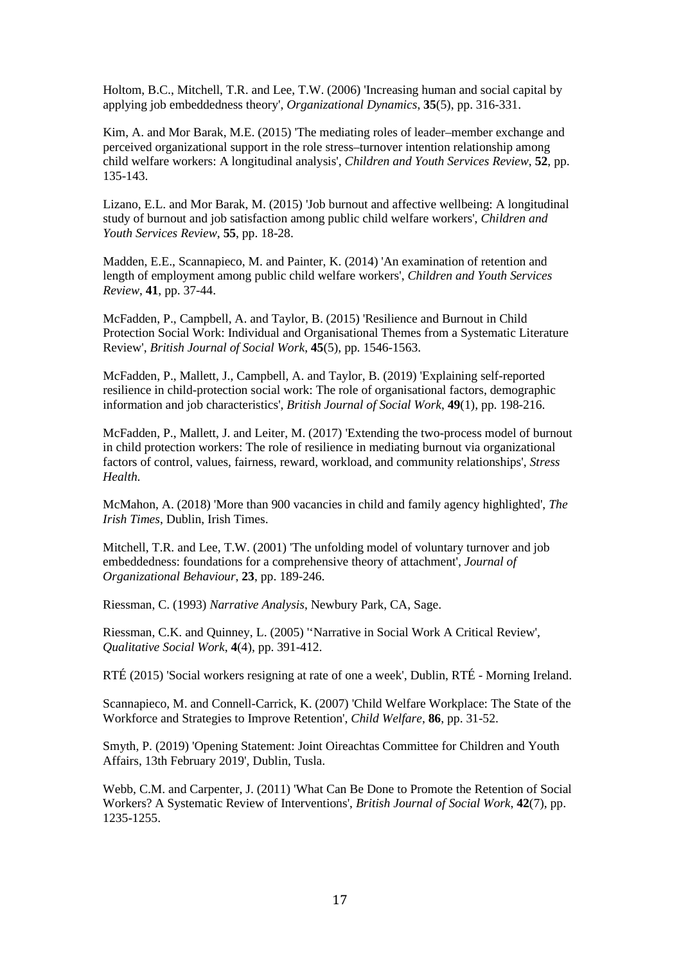Holtom, B.C., Mitchell, T.R. and Lee, T.W. (2006) 'Increasing human and social capital by applying job embeddedness theory', *Organizational Dynamics*, **35**(5), pp. 316-331.

Kim, A. and Mor Barak, M.E. (2015) 'The mediating roles of leader–member exchange and perceived organizational support in the role stress–turnover intention relationship among child welfare workers: A longitudinal analysis', *Children and Youth Services Review*, **52**, pp. 135-143.

Lizano, E.L. and Mor Barak, M. (2015) 'Job burnout and affective wellbeing: A longitudinal study of burnout and job satisfaction among public child welfare workers', *Children and Youth Services Review*, **55**, pp. 18-28.

Madden, E.E., Scannapieco, M. and Painter, K. (2014) 'An examination of retention and length of employment among public child welfare workers', *Children and Youth Services Review*, **41**, pp. 37-44.

McFadden, P., Campbell, A. and Taylor, B. (2015) 'Resilience and Burnout in Child Protection Social Work: Individual and Organisational Themes from a Systematic Literature Review', *British Journal of Social Work*, **45**(5), pp. 1546-1563.

McFadden, P., Mallett, J., Campbell, A. and Taylor, B. (2019) 'Explaining self-reported resilience in child-protection social work: The role of organisational factors, demographic information and job characteristics', *British Journal of Social Work*, **49**(1), pp. 198-216.

McFadden, P., Mallett, J. and Leiter, M. (2017) 'Extending the two-process model of burnout in child protection workers: The role of resilience in mediating burnout via organizational factors of control, values, fairness, reward, workload, and community relationships', *Stress Health*.

McMahon, A. (2018) 'More than 900 vacancies in child and family agency highlighted', *The Irish Times*, Dublin, Irish Times.

Mitchell, T.R. and Lee, T.W. (2001) 'The unfolding model of voluntary turnover and job embeddedness: foundations for a comprehensive theory of attachment', *Journal of Organizational Behaviour*, **23**, pp. 189-246.

Riessman, C. (1993) *Narrative Analysis*, Newbury Park, CA, Sage.

Riessman, C.K. and Quinney, L. (2005) ''Narrative in Social Work A Critical Review', *Qualitative Social Work*, **4**(4), pp. 391-412.

RTÉ (2015) 'Social workers resigning at rate of one a week', Dublin, RTÉ - Morning Ireland.

Scannapieco, M. and Connell-Carrick, K. (2007) 'Child Welfare Workplace: The State of the Workforce and Strategies to Improve Retention', *Child Welfare*, **86**, pp. 31-52.

Smyth, P. (2019) 'Opening Statement: Joint Oireachtas Committee for Children and Youth Affairs, 13th February 2019', Dublin, Tusla.

Webb, C.M. and Carpenter, J. (2011) 'What Can Be Done to Promote the Retention of Social Workers? A Systematic Review of Interventions', *British Journal of Social Work*, **42**(7), pp. 1235-1255.